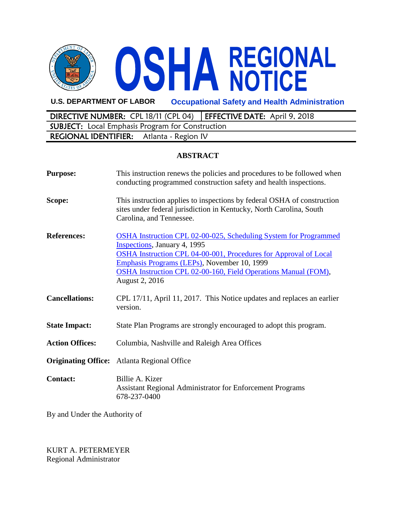

**U.S. DEPARTMENT OF LABOR Occupational Safety and Health Administration**

DIRECTIVE NUMBER: CPL 18/11 (CPL 04) EFFECTIVE DATE: April 9, 2018 SUBJECT: Local Emphasis Program for Construction REGIONAL IDENTIFIER: Atlanta - Region IV

## **ABSTRACT**

| <b>Purpose:</b>            | This instruction renews the policies and procedures to be followed when<br>conducting programmed construction safety and health inspections.                                                                                                                                                                          |
|----------------------------|-----------------------------------------------------------------------------------------------------------------------------------------------------------------------------------------------------------------------------------------------------------------------------------------------------------------------|
| Scope:                     | This instruction applies to inspections by federal OSHA of construction<br>sites under federal jurisdiction in Kentucky, North Carolina, South<br>Carolina, and Tennessee.                                                                                                                                            |
| <b>References:</b>         | <b>OSHA Instruction CPL 02-00-025, Scheduling System for Programmed</b><br>Inspections, January 4, 1995<br>OSHA Instruction CPL 04-00-001, Procedures for Approval of Local<br>Emphasis Programs (LEPs), November 10, 1999<br>OSHA Instruction CPL 02-00-160, Field Operations Manual (FOM),<br><b>August 2, 2016</b> |
| <b>Cancellations:</b>      | CPL 17/11, April 11, 2017. This Notice updates and replaces an earlier<br>version.                                                                                                                                                                                                                                    |
| <b>State Impact:</b>       | State Plan Programs are strongly encouraged to adopt this program.                                                                                                                                                                                                                                                    |
| <b>Action Offices:</b>     | Columbia, Nashville and Raleigh Area Offices                                                                                                                                                                                                                                                                          |
| <b>Originating Office:</b> | Atlanta Regional Office                                                                                                                                                                                                                                                                                               |
| <b>Contact:</b>            | Billie A. Kizer<br><b>Assistant Regional Administrator for Enforcement Programs</b><br>678-237-0400                                                                                                                                                                                                                   |

By and Under the Authority of

KURT A. PETERMEYER Regional Administrator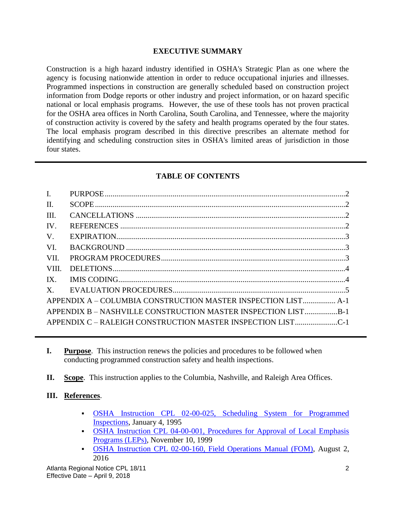## **EXECUTIVE SUMMARY**

Construction is a high hazard industry identified in OSHA's Strategic Plan as one where the agency is focusing nationwide attention in order to reduce occupational injuries and illnesses. Programmed inspections in construction are generally scheduled based on construction project information from Dodge reports or other industry and project information, or on hazard specific national or local emphasis programs. However, the use of these tools has not proven practical for the OSHA area offices in North Carolina, South Carolina, and Tennessee, where the majority of construction activity is covered by the safety and health programs operated by the four states. The local emphasis program described in this directive prescribes an alternate method for identifying and scheduling construction sites in OSHA's limited areas of jurisdiction in those four states.

## **TABLE OF CONTENTS**

| APPENDIX A - COLUMBIA CONSTRUCTION MASTER INSPECTION LIST A-1 |  |
|---------------------------------------------------------------|--|
| APPENDIX B - NASHVILLE CONSTRUCTION MASTER INSPECTION LISTB-1 |  |
| APPENDIX C - RALEIGH CONSTRUCTION MASTER INSPECTION LISTC-1   |  |
|                                                               |  |

- **I. Purpose**. This instruction renews the policies and procedures to be followed when conducting programmed construction safety and health inspections.
- **II. Scope**. This instruction applies to the Columbia, Nashville, and Raleigh Area Offices.

#### **III. References**.

- [OSHA Instruction CPL 02-00-025, Scheduling System for Programmed](https://www.osha.gov/pls/oshaweb/owadisp.show_document?p_table=DIRECTIVES&p_id=1594) [Inspections,](https://www.osha.gov/pls/oshaweb/owadisp.show_document?p_table=DIRECTIVES&p_id=1594) January 4, 1995
- [OSHA Instruction CPL 04-00-001, Procedures for Approval of Local Emphasis](https://www.osha.gov/pls/oshaweb/owadisp.show_document?p_table=DIRECTIVES&p_id=2252) [Programs \(LEPs\),](https://www.osha.gov/pls/oshaweb/owadisp.show_document?p_table=DIRECTIVES&p_id=2252) November 10, 1999
- [OSHA Instruction CPL 02-00-160, Field Operations Manual \(FOM\),](https://www.osha.gov/pls/oshaweb/owadisp.show_document?p_table=DIRECTIVES&p_id=6600) August 2, 2016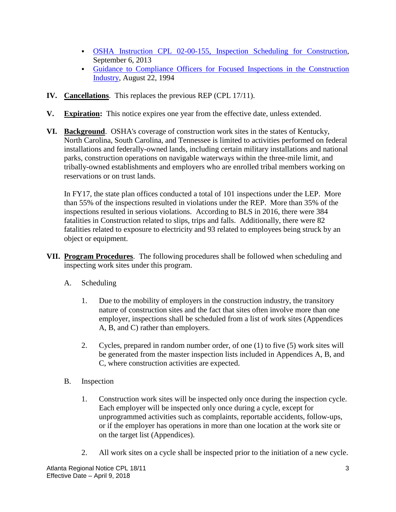- [OSHA Instruction CPL 02-00-155, Inspection Scheduling for Construction,](https://www.osha.gov/pls/oshaweb/owadisp.show_document?p_table=DIRECTIVES&p_id=5670) September 6, 2013
- [Guidance to Compliance Officers for Focused Inspections in the Construction](https://www.osha.gov/laws-regs/standardinterpretations/1994-08-22-0) [Industry,](https://www.osha.gov/laws-regs/standardinterpretations/1994-08-22-0) August 22, 1994
- **IV. Cancellations**. This replaces the previous REP (CPL 17/11).
- **V. Expiration:** This notice expires one year from the effective date, unless extended.
- **VI. Background**. OSHA's coverage of construction work sites in the states of Kentucky, North Carolina, South Carolina, and Tennessee is limited to activities performed on federal installations and federally-owned lands, including certain military installations and national parks, construction operations on navigable waterways within the three-mile limit, and tribally-owned establishments and employers who are enrolled tribal members working on reservations or on trust lands.

In FY17, the state plan offices conducted a total of 101 inspections under the LEP. More than 55% of the inspections resulted in violations under the REP. More than 35% of the inspections resulted in serious violations. According to BLS in 2016, there were 384 fatalities in Construction related to slips, trips and falls. Additionally, there were 82 fatalities related to exposure to electricity and 93 related to employees being struck by an object or equipment.

- **VII. Program Procedures**. The following procedures shall be followed when scheduling and inspecting work sites under this program.
	- A. Scheduling
		- 1. Due to the mobility of employers in the construction industry, the transitory nature of construction sites and the fact that sites often involve more than one employer, inspections shall be scheduled from a list of work sites (Appendices A, B, and C) rather than employers.
		- 2. Cycles, prepared in random number order, of one (1) to five (5) work sites will be generated from the master inspection lists included in Appendices A, B, and C, where construction activities are expected.
	- B. Inspection
		- 1. Construction work sites will be inspected only once during the inspection cycle. Each employer will be inspected only once during a cycle, except for unprogrammed activities such as complaints, reportable accidents, follow-ups, or if the employer has operations in more than one location at the work site or on the target list (Appendices).
		- 2. All work sites on a cycle shall be inspected prior to the initiation of a new cycle.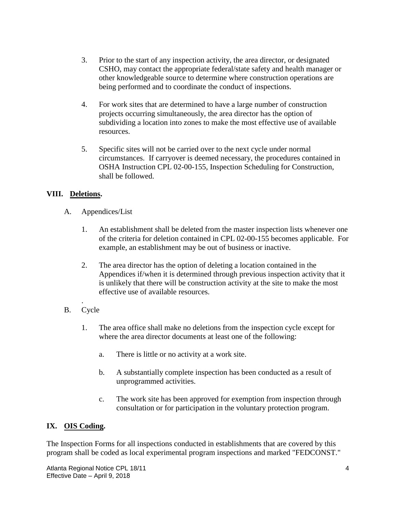- 3. Prior to the start of any inspection activity, the area director, or designated CSHO, may contact the appropriate federal/state safety and health manager or other knowledgeable source to determine where construction operations are being performed and to coordinate the conduct of inspections.
- 4. For work sites that are determined to have a large number of construction projects occurring simultaneously, the area director has the option of subdividing a location into zones to make the most effective use of available resources.
- 5. Specific sites will not be carried over to the next cycle under normal circumstances. If carryover is deemed necessary, the procedures contained in OSHA Instruction CPL 02-00-155, Inspection Scheduling for Construction, shall be followed.

# **VIII. Deletions.**

- A. Appendices/List
	- 1. An establishment shall be deleted from the master inspection lists whenever one of the criteria for deletion contained in CPL 02-00-155 becomes applicable. For example, an establishment may be out of business or inactive.
	- 2. The area director has the option of deleting a location contained in the Appendices if/when it is determined through previous inspection activity that it is unlikely that there will be construction activity at the site to make the most effective use of available resources.
- . B. Cycle
	- 1. The area office shall make no deletions from the inspection cycle except for where the area director documents at least one of the following:
		- a. There is little or no activity at a work site.
		- b. A substantially complete inspection has been conducted as a result of unprogrammed activities.
		- c. The work site has been approved for exemption from inspection through consultation or for participation in the voluntary protection program.

## **IX. OIS Coding.**

The Inspection Forms for all inspections conducted in establishments that are covered by this program shall be coded as local experimental program inspections and marked "FEDCONST."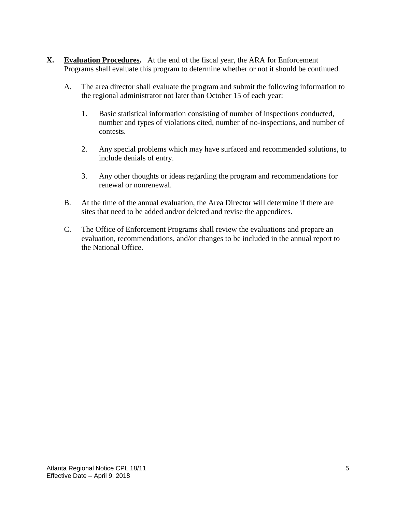- **X. Evaluation Procedures.** At the end of the fiscal year, the ARA for Enforcement Programs shall evaluate this program to determine whether or not it should be continued.
	- A. The area director shall evaluate the program and submit the following information to the regional administrator not later than October 15 of each year:
		- 1. Basic statistical information consisting of number of inspections conducted, number and types of violations cited, number of no-inspections, and number of contests.
		- 2. Any special problems which may have surfaced and recommended solutions, to include denials of entry.
		- 3. Any other thoughts or ideas regarding the program and recommendations for renewal or nonrenewal.
	- B. At the time of the annual evaluation, the Area Director will determine if there are sites that need to be added and/or deleted and revise the appendices.
	- C. The Office of Enforcement Programs shall review the evaluations and prepare an evaluation, recommendations, and/or changes to be included in the annual report to the National Office.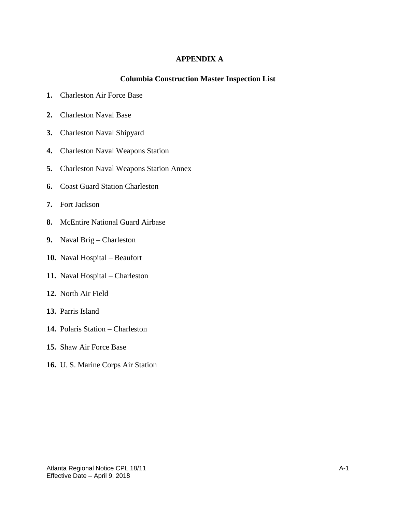### **APPENDIX A**

#### **Columbia Construction Master Inspection List**

- **1.** Charleston Air Force Base
- **2.** Charleston Naval Base
- **3.** Charleston Naval Shipyard
- **4.** Charleston Naval Weapons Station
- **5.** Charleston Naval Weapons Station Annex
- **6.** Coast Guard Station Charleston
- **7.** Fort Jackson
- **8.** McEntire National Guard Airbase
- **9.** Naval Brig Charleston
- **10.** Naval Hospital Beaufort
- **11.** Naval Hospital Charleston
- **12.** North Air Field
- **13.** Parris Island
- **14.** Polaris Station Charleston
- **15.** Shaw Air Force Base
- **16.** U. S. Marine Corps Air Station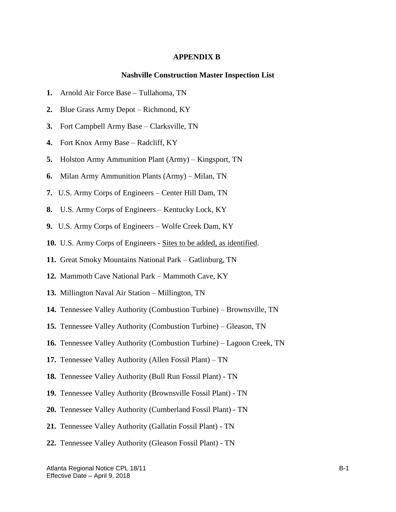#### **APPENDIX B**

#### **Nashville Construction Master Inspection List**

- **1.** Arnold Air Force Base Tullahoma, TN
- **2.** Blue Grass Army Depot Richmond, KY
- **3.** Fort Campbell Army Base Clarksville, TN
- **4.** Fort Knox Army Base Radcliff, KY
- **5.** Holston Army Ammunition Plant (Army) Kingsport, TN
- **6.** Milan Army Ammunition Plants (Army) Milan, TN
- **7.** U.S. Army Corps of Engineers Center Hill Dam, TN
- **8.** U.S. Army Corps of Engineers Kentucky Lock, KY
- **9.** U.S. Army Corps of Engineers Wolfe Creek Dam, KY
- **10.** U.S. Army Corps of Engineers Sites to be added, as identified.
- **11.** Great Smoky Mountains National Park Gatlinburg, TN
- **12.** Mammoth Cave National Park Mammoth Cave, KY
- **13.** Millington Naval Air Station Millington, TN
- **14.** Tennessee Valley Authority (Combustion Turbine) Brownsville, TN
- **15.** Tennessee Valley Authority (Combustion Turbine) Gleason, TN
- **16.** Tennessee Valley Authority (Combustion Turbine) Lagoon Creek, TN
- **17.** Tennessee Valley Authority (Allen Fossil Plant) TN
- **18.** Tennessee Valley Authority (Bull Run Fossil Plant) TN
- **19.** Tennessee Valley Authority (Brownsville Fossil Plant) TN
- **20.** Tennessee Valley Authority (Cumberland Fossil Plant) TN
- **21.** Tennessee Valley Authority (Gallatin Fossil Plant) TN
- **22.** Tennessee Valley Authority (Gleason Fossil Plant) TN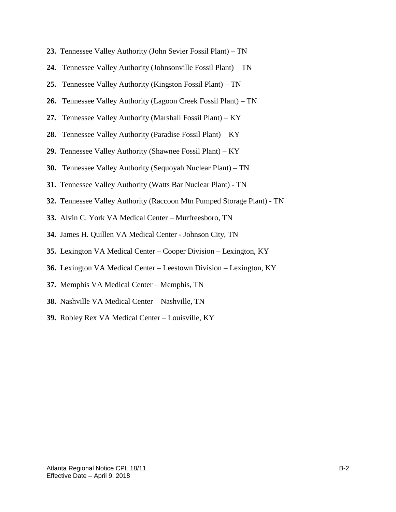- **23.** Tennessee Valley Authority (John Sevier Fossil Plant) TN
- **24.** Tennessee Valley Authority (Johnsonville Fossil Plant) TN
- **25.** Tennessee Valley Authority (Kingston Fossil Plant) TN
- **26.** Tennessee Valley Authority (Lagoon Creek Fossil Plant) TN
- **27.** Tennessee Valley Authority (Marshall Fossil Plant) KY
- **28.** Tennessee Valley Authority (Paradise Fossil Plant) KY
- **29.** Tennessee Valley Authority (Shawnee Fossil Plant) KY
- **30.** Tennessee Valley Authority (Sequoyah Nuclear Plant) TN
- **31.** Tennessee Valley Authority (Watts Bar Nuclear Plant) TN
- **32.** Tennessee Valley Authority (Raccoon Mtn Pumped Storage Plant) TN
- **33.** Alvin C. York VA Medical Center Murfreesboro, TN
- **34.** James H. Quillen VA Medical Center Johnson City, TN
- **35.** Lexington VA Medical Center Cooper Division Lexington, KY
- **36.** Lexington VA Medical Center Leestown Division Lexington, KY
- **37.** Memphis VA Medical Center Memphis, TN
- **38.** Nashville VA Medical Center Nashville, TN
- **39.** Robley Rex VA Medical Center Louisville, KY